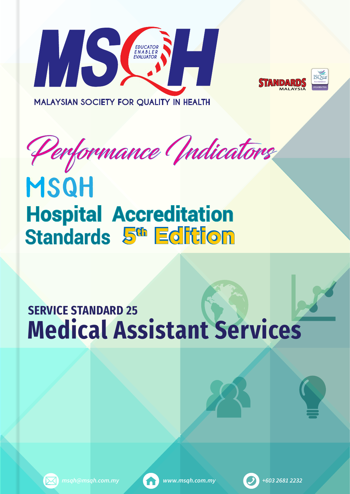





Performance Indicators

# **MSQH Hospital Accreditation Standards 5<sup>th</sup> Edition**

## **Medical Assistant Services SERVICE STANDARD 25**



*msqh@msqh.com.my www.msqh.com.my +603 2681 2232*



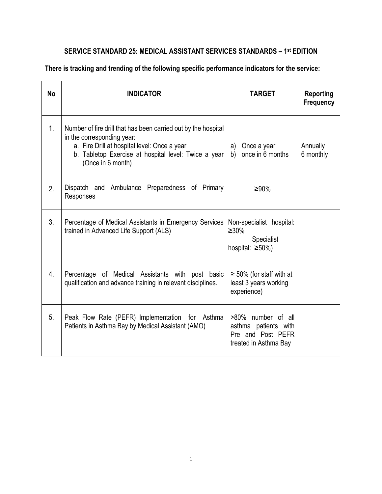| No             | <b>INDICATOR</b>                                                                                                                                                                                                          | <b>TARGET</b>                                                                            | <b>Reporting</b><br><b>Frequency</b> |
|----------------|---------------------------------------------------------------------------------------------------------------------------------------------------------------------------------------------------------------------------|------------------------------------------------------------------------------------------|--------------------------------------|
| 1 <sub>1</sub> | Number of fire drill that has been carried out by the hospital<br>in the corresponding year:<br>a. Fire Drill at hospital level: Once a year<br>b. Tabletop Exercise at hospital level: Twice a year<br>(Once in 6 month) | a)<br>Once a year<br>b) once in 6 months                                                 | Annually<br>6 monthly                |
| 2.             | Dispatch and Ambulance Preparedness of Primary<br>Responses                                                                                                                                                               | ≥90%                                                                                     |                                      |
| 3 <sub>1</sub> | Percentage of Medical Assistants in Emergency Services<br>trained in Advanced Life Support (ALS)                                                                                                                          | Non-specialist hospital:<br>≥30%<br>Specialist<br>hospital: $\geq 50\%$ )                |                                      |
| 4.             | Percentage of Medical Assistants with post basic<br>qualification and advance training in relevant disciplines.                                                                                                           | $\geq$ 50% (for staff with at<br>least 3 years working<br>experience)                    |                                      |
| 5 <sub>1</sub> | Peak Flow Rate (PEFR) Implementation for Asthma<br>Patients in Asthma Bay by Medical Assistant (AMO)                                                                                                                      | >80% number of all<br>asthma patients with<br>Pre and Post PEFR<br>treated in Asthma Bay |                                      |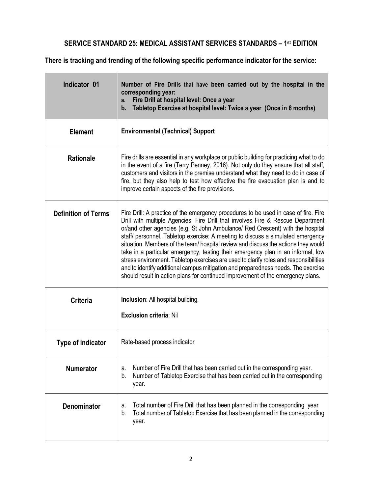| <b>Indicator 01</b>                                                                                                                                                                                                                                                                                                                                                                                                             | Number of Fire Drills that have been carried out by the hospital in the<br>corresponding year:<br>Fire Drill at hospital level: Once a year<br>a.<br>Tabletop Exercise at hospital level: Twice a year (Once in 6 months)<br>b.                                                                                                                                                                                                                                                                                                                                                                                                                                                                                                                                                        |  |
|---------------------------------------------------------------------------------------------------------------------------------------------------------------------------------------------------------------------------------------------------------------------------------------------------------------------------------------------------------------------------------------------------------------------------------|----------------------------------------------------------------------------------------------------------------------------------------------------------------------------------------------------------------------------------------------------------------------------------------------------------------------------------------------------------------------------------------------------------------------------------------------------------------------------------------------------------------------------------------------------------------------------------------------------------------------------------------------------------------------------------------------------------------------------------------------------------------------------------------|--|
| <b>Element</b>                                                                                                                                                                                                                                                                                                                                                                                                                  | <b>Environmental (Technical) Support</b>                                                                                                                                                                                                                                                                                                                                                                                                                                                                                                                                                                                                                                                                                                                                               |  |
| Fire drills are essential in any workplace or public building for practicing what to do<br><b>Rationale</b><br>in the event of a fire (Terry Penney, 2016). Not only do they ensure that all staff,<br>customers and visitors in the premise understand what they need to do in case of<br>fire, but they also help to test how effective the fire evacuation plan is and to<br>improve certain aspects of the fire provisions. |                                                                                                                                                                                                                                                                                                                                                                                                                                                                                                                                                                                                                                                                                                                                                                                        |  |
| <b>Definition of Terms</b>                                                                                                                                                                                                                                                                                                                                                                                                      | Fire Drill: A practice of the emergency procedures to be used in case of fire. Fire<br>Drill with multiple Agencies: Fire Drill that involves Fire & Rescue Department<br>or/and other agencies (e.g. St John Ambulance/ Red Crescent) with the hospital<br>staff/ personnel. Tabletop exercise: A meeting to discuss a simulated emergency<br>situation. Members of the team/ hospital review and discuss the actions they would<br>take in a particular emergency, testing their emergency plan in an informal, low<br>stress environment. Tabletop exercises are used to clarify roles and responsibilities<br>and to identify additional campus mitigation and preparedness needs. The exercise<br>should result in action plans for continued improvement of the emergency plans. |  |
| <b>Criteria</b>                                                                                                                                                                                                                                                                                                                                                                                                                 | <b>Inclusion:</b> All hospital building.<br><b>Exclusion criteria: Nil</b>                                                                                                                                                                                                                                                                                                                                                                                                                                                                                                                                                                                                                                                                                                             |  |
|                                                                                                                                                                                                                                                                                                                                                                                                                                 |                                                                                                                                                                                                                                                                                                                                                                                                                                                                                                                                                                                                                                                                                                                                                                                        |  |
| Type of indicator                                                                                                                                                                                                                                                                                                                                                                                                               | Rate-based process indicator                                                                                                                                                                                                                                                                                                                                                                                                                                                                                                                                                                                                                                                                                                                                                           |  |
| <b>Numerator</b>                                                                                                                                                                                                                                                                                                                                                                                                                | Number of Fire Drill that has been carried out in the corresponding year.<br>a.<br>Number of Tabletop Exercise that has been carried out in the corresponding<br>b.<br>year.                                                                                                                                                                                                                                                                                                                                                                                                                                                                                                                                                                                                           |  |
| <b>Denominator</b>                                                                                                                                                                                                                                                                                                                                                                                                              | Total number of Fire Drill that has been planned in the corresponding year<br>a.<br>Total number of Tabletop Exercise that has been planned in the corresponding<br>b.<br>year.                                                                                                                                                                                                                                                                                                                                                                                                                                                                                                                                                                                                        |  |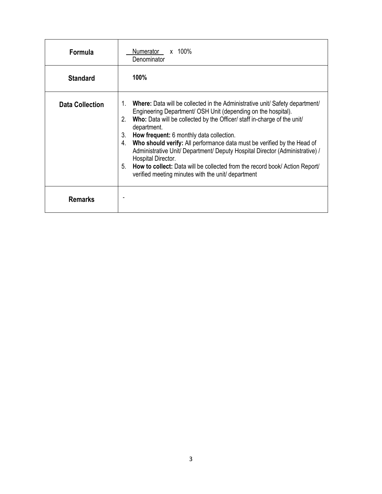| <b>Formula</b>         | Numerator<br>x 100%<br>Denominator                                                                                                                                                                                                                                                                                                                                                                                                                                                                                                                                                                                                    |
|------------------------|---------------------------------------------------------------------------------------------------------------------------------------------------------------------------------------------------------------------------------------------------------------------------------------------------------------------------------------------------------------------------------------------------------------------------------------------------------------------------------------------------------------------------------------------------------------------------------------------------------------------------------------|
| <b>Standard</b>        | 100%                                                                                                                                                                                                                                                                                                                                                                                                                                                                                                                                                                                                                                  |
| <b>Data Collection</b> | 1. Where: Data will be collected in the Administrative unit/ Safety department/<br>Engineering Department/ OSH Unit (depending on the hospital).<br>Who: Data will be collected by the Officer/ staff in-charge of the unit/<br>2.<br>department.<br>3.<br>How frequent: 6 monthly data collection.<br>Who should verify: All performance data must be verified by the Head of<br>4.<br>Administrative Unit/ Department/ Deputy Hospital Director (Administrative) /<br>Hospital Director.<br>5.<br>How to collect: Data will be collected from the record book/ Action Report/<br>verified meeting minutes with the unit/ department |
| <b>Remarks</b>         |                                                                                                                                                                                                                                                                                                                                                                                                                                                                                                                                                                                                                                       |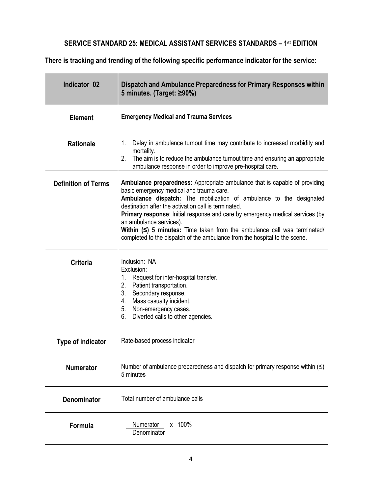| Indicator 02               | Dispatch and Ambulance Preparedness for Primary Responses within<br>5 minutes. (Target: ≥90%)                                                                                                                                                                                                                                                                                                                                                                                                                                   |
|----------------------------|---------------------------------------------------------------------------------------------------------------------------------------------------------------------------------------------------------------------------------------------------------------------------------------------------------------------------------------------------------------------------------------------------------------------------------------------------------------------------------------------------------------------------------|
| <b>Element</b>             | <b>Emergency Medical and Trauma Services</b>                                                                                                                                                                                                                                                                                                                                                                                                                                                                                    |
| <b>Rationale</b>           | Delay in ambulance turnout time may contribute to increased morbidity and<br>1.<br>mortality.<br>The aim is to reduce the ambulance turnout time and ensuring an appropriate<br>2.<br>ambulance response in order to improve pre-hospital care.                                                                                                                                                                                                                                                                                 |
| <b>Definition of Terms</b> | Ambulance preparedness: Appropriate ambulance that is capable of providing<br>basic emergency medical and trauma care.<br>Ambulance dispatch: The mobilization of ambulance to the designated<br>destination after the activation call is terminated.<br>Primary response: Initial response and care by emergency medical services (by<br>an ambulance services).<br>Within $(\le)$ 5 minutes: Time taken from the ambulance call was terminated/<br>completed to the dispatch of the ambulance from the hospital to the scene. |
| <b>Criteria</b>            | Inclusion: NA<br>Exclusion:<br>Request for inter-hospital transfer.<br>$1_{-}$<br>Patient transportation.<br>2.<br>3. Secondary response.<br>Mass casualty incident.<br>4.<br>5.<br>Non-emergency cases.<br>Diverted calls to other agencies.<br>6.                                                                                                                                                                                                                                                                             |
| Type of indicator          | Rate-based process indicator                                                                                                                                                                                                                                                                                                                                                                                                                                                                                                    |
| <b>Numerator</b>           | Number of ambulance preparedness and dispatch for primary response within $(\leq)$<br>5 minutes                                                                                                                                                                                                                                                                                                                                                                                                                                 |
| <b>Denominator</b>         | Total number of ambulance calls                                                                                                                                                                                                                                                                                                                                                                                                                                                                                                 |
| Formula                    | x 100%<br><b>Numerator</b><br>Denominator                                                                                                                                                                                                                                                                                                                                                                                                                                                                                       |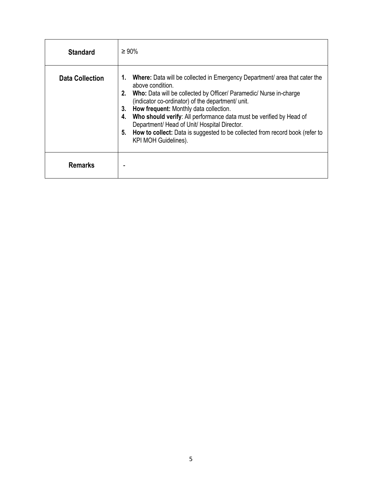| <b>Standard</b>        | $\geq 90\%$                                                                                                                                                                                                                                                                                                                                                                                                                                                                                                          |
|------------------------|----------------------------------------------------------------------------------------------------------------------------------------------------------------------------------------------------------------------------------------------------------------------------------------------------------------------------------------------------------------------------------------------------------------------------------------------------------------------------------------------------------------------|
| <b>Data Collection</b> | Where: Data will be collected in Emergency Department/ area that cater the<br>1.<br>above condition.<br>Who: Data will be collected by Officer/ Paramedic/ Nurse in-charge<br>(indicator co-ordinator) of the department/ unit.<br>How frequent: Monthly data collection.<br>3.<br>Who should verify: All performance data must be verified by Head of<br>Department/ Head of Unit/ Hospital Director.<br>How to collect: Data is suggested to be collected from record book (refer to<br>5.<br>KPI MOH Guidelines). |
| <b>Remarks</b>         |                                                                                                                                                                                                                                                                                                                                                                                                                                                                                                                      |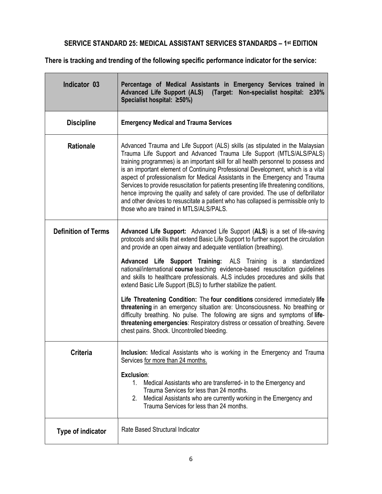| Indicator 03               | Percentage of Medical Assistants in Emergency Services trained in<br>Advanced Life Support (ALS) (Target: Non-specialist hospital: ≥30%<br>Specialist hospital: ≥50%)                                                                                                                                                                                                                                                                                                                                                                                                                                                                                                                                                                                                                                                                                                                                                                |
|----------------------------|--------------------------------------------------------------------------------------------------------------------------------------------------------------------------------------------------------------------------------------------------------------------------------------------------------------------------------------------------------------------------------------------------------------------------------------------------------------------------------------------------------------------------------------------------------------------------------------------------------------------------------------------------------------------------------------------------------------------------------------------------------------------------------------------------------------------------------------------------------------------------------------------------------------------------------------|
| <b>Discipline</b>          | <b>Emergency Medical and Trauma Services</b>                                                                                                                                                                                                                                                                                                                                                                                                                                                                                                                                                                                                                                                                                                                                                                                                                                                                                         |
| Rationale                  | Advanced Trauma and Life Support (ALS) skills (as stipulated in the Malaysian<br>Trauma Life Support and Advanced Trauma Life Support (MTLS/ALS/PALS)<br>training programmes) is an important skill for all health personnel to possess and<br>is an important element of Continuing Professional Development, which is a vital<br>aspect of professionalism for Medical Assistants in the Emergency and Trauma<br>Services to provide resuscitation for patients presenting life threatening conditions,<br>hence improving the quality and safety of care provided. The use of defibrillator<br>and other devices to resuscitate a patient who has collapsed is permissible only to<br>those who are trained in MTLS/ALS/PALS.                                                                                                                                                                                                     |
| <b>Definition of Terms</b> | Advanced Life Support: Advanced Life Support (ALS) is a set of life-saving<br>protocols and skills that extend Basic Life Support to further support the circulation<br>and provide an open airway and adequate ventilation (breathing).<br>Advanced Life Support Training: ALS Training is a standardized<br>national/international course teaching evidence-based resuscitation guidelines<br>and skills to healthcare professionals. ALS includes procedures and skills that<br>extend Basic Life Support (BLS) to further stabilize the patient.<br>Life Threatening Condition: The four conditions considered immediately life<br>threatening in an emergency situation are: Unconsciousness. No breathing or<br>difficulty breathing. No pulse. The following are signs and symptoms of life-<br>threatening emergencies: Respiratory distress or cessation of breathing. Severe<br>chest pains. Shock. Uncontrolled bleeding. |
| Criteria                   | Inclusion: Medical Assistants who is working in the Emergency and Trauma<br>Services for more than 24 months.<br>Exclusion:<br>1. Medical Assistants who are transferred- in to the Emergency and<br>Trauma Services for less than 24 months.<br>Medical Assistants who are currently working in the Emergency and<br>2.<br>Trauma Services for less than 24 months.                                                                                                                                                                                                                                                                                                                                                                                                                                                                                                                                                                 |
| Type of indicator          | Rate Based Structural Indicator                                                                                                                                                                                                                                                                                                                                                                                                                                                                                                                                                                                                                                                                                                                                                                                                                                                                                                      |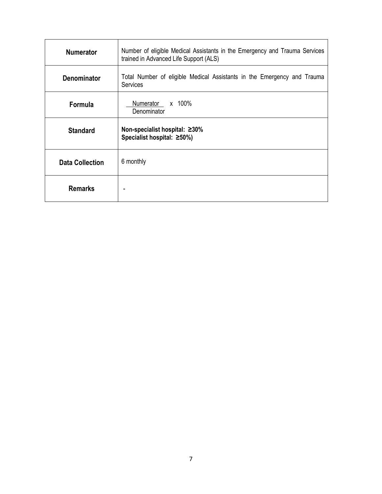| <b>Numerator</b>       | Number of eligible Medical Assistants in the Emergency and Trauma Services<br>trained in Advanced Life Support (ALS) |
|------------------------|----------------------------------------------------------------------------------------------------------------------|
| <b>Denominator</b>     | Total Number of eligible Medical Assistants in the Emergency and Trauma<br><b>Services</b>                           |
| Formula                | x 100%<br>Numerator<br>Denominator                                                                                   |
| <b>Standard</b>        | Non-specialist hospital: ≥30%<br>Specialist hospital: ≥50%)                                                          |
| <b>Data Collection</b> | 6 monthly                                                                                                            |
| <b>Remarks</b>         | ۰                                                                                                                    |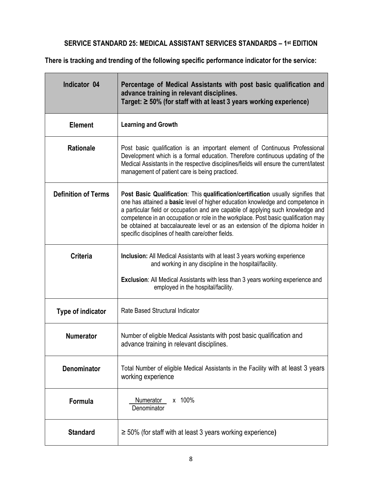| Indicator 04               | Percentage of Medical Assistants with post basic qualification and<br>advance training in relevant disciplines.<br>Target: $\geq 50\%$ (for staff with at least 3 years working experience)                                                                                                                                                                                                                                                                                         |
|----------------------------|-------------------------------------------------------------------------------------------------------------------------------------------------------------------------------------------------------------------------------------------------------------------------------------------------------------------------------------------------------------------------------------------------------------------------------------------------------------------------------------|
| <b>Element</b>             | <b>Learning and Growth</b>                                                                                                                                                                                                                                                                                                                                                                                                                                                          |
| <b>Rationale</b>           | Post basic qualification is an important element of Continuous Professional<br>Development which is a formal education. Therefore continuous updating of the<br>Medical Assistants in the respective disciplines/fields will ensure the current/latest<br>management of patient care is being practiced.                                                                                                                                                                            |
| <b>Definition of Terms</b> | Post Basic Qualification: This qualification/certification usually signifies that<br>one has attained a basic level of higher education knowledge and competence in<br>a particular field or occupation and are capable of applying such knowledge and<br>competence in an occupation or role in the workplace. Post basic qualification may<br>be obtained at baccalaureate level or as an extension of the diploma holder in<br>specific disciplines of health care/other fields. |
| <b>Criteria</b>            | <b>Inclusion:</b> All Medical Assistants with at least 3 years working experience<br>and working in any discipline in the hospital/facility.<br><b>Exclusion:</b> All Medical Assistants with less than 3 years working experience and<br>employed in the hospital/facility.                                                                                                                                                                                                        |
| <b>Type of indicator</b>   | Rate Based Structural Indicator                                                                                                                                                                                                                                                                                                                                                                                                                                                     |
| <b>Numerator</b>           | Number of eligible Medical Assistants with post basic qualification and<br>advance training in relevant disciplines.                                                                                                                                                                                                                                                                                                                                                                |
| <b>Denominator</b>         | Total Number of eligible Medical Assistants in the Facility with at least 3 years<br>working experience                                                                                                                                                                                                                                                                                                                                                                             |
| Formula                    | x 100%<br>Numerator<br>Denominator                                                                                                                                                                                                                                                                                                                                                                                                                                                  |
| <b>Standard</b>            | $\geq$ 50% (for staff with at least 3 years working experience)                                                                                                                                                                                                                                                                                                                                                                                                                     |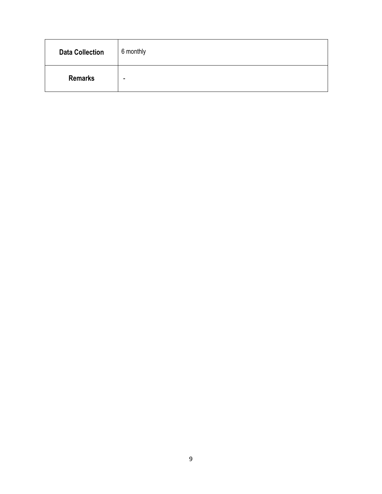| <b>Data Collection</b> | 6 monthly |
|------------------------|-----------|
| <b>Remarks</b>         | -         |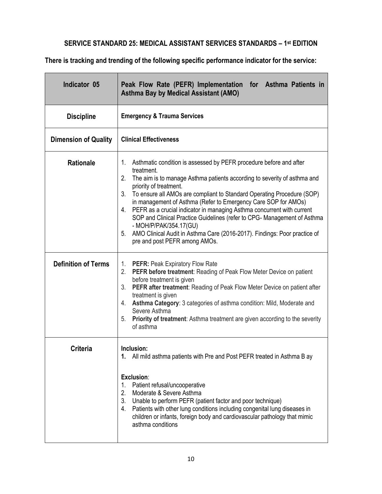| Indicator 05                | Peak Flow Rate (PEFR) Implementation for Asthma Patients in<br><b>Asthma Bay by Medical Assistant (AMO)</b>                                                                                                                                                                                                                                                                                                                                                                                                                                                                                                                                           |  |
|-----------------------------|-------------------------------------------------------------------------------------------------------------------------------------------------------------------------------------------------------------------------------------------------------------------------------------------------------------------------------------------------------------------------------------------------------------------------------------------------------------------------------------------------------------------------------------------------------------------------------------------------------------------------------------------------------|--|
| <b>Discipline</b>           | <b>Emergency &amp; Trauma Services</b>                                                                                                                                                                                                                                                                                                                                                                                                                                                                                                                                                                                                                |  |
| <b>Dimension of Quality</b> | <b>Clinical Effectiveness</b>                                                                                                                                                                                                                                                                                                                                                                                                                                                                                                                                                                                                                         |  |
| <b>Rationale</b>            | 1. Asthmatic condition is assessed by PEFR procedure before and after<br>treatment.<br>2.<br>The aim is to manage Asthma patients according to severity of asthma and<br>priority of treatment.<br>3.<br>To ensure all AMOs are compliant to Standard Operating Procedure (SOP)<br>in management of Asthma (Refer to Emergency Care SOP for AMOs)<br>4. PEFR as a crucial indicator in managing Asthma concurrent with current<br>SOP and Clinical Practice Guidelines (refer to CPG- Management of Asthma<br>- MOH/P/PAK/354.17(GU)<br>5. AMO Clinical Audit in Asthma Care (2016-2017). Findings: Poor practice of<br>pre and post PEFR among AMOs. |  |
| <b>Definition of Terms</b>  | 1. PEFR: Peak Expiratory Flow Rate<br>2. PEFR before treatment: Reading of Peak Flow Meter Device on patient<br>before treatment is given<br>3. PEFR after treatment: Reading of Peak Flow Meter Device on patient after<br>treatment is given<br>4. Asthma Category: 3 categories of asthma condition: Mild, Moderate and<br>Severe Asthma<br>5. Priority of treatment: Asthma treatment are given according to the severity<br>of asthma                                                                                                                                                                                                            |  |
| <b>Criteria</b>             | Inclusion:<br>All mild asthma patients with Pre and Post PEFR treated in Asthma B ay<br>1.<br>Exclusion:<br>Patient refusal/uncooperative<br>1.<br>Moderate & Severe Asthma<br>2.<br>3.<br>Unable to perform PEFR (patient factor and poor technique)<br>Patients with other lung conditions including congenital lung diseases in<br>4.<br>children or infants, foreign body and cardiovascular pathology that mimic<br>asthma conditions                                                                                                                                                                                                            |  |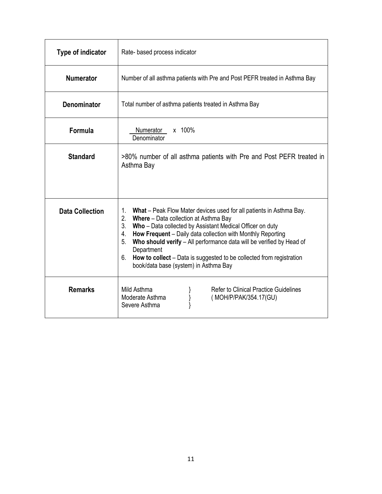| Type of indicator      | Rate- based process indicator                                                                                                                                                                                                                                                                                                                                                                                                                                                           |  |
|------------------------|-----------------------------------------------------------------------------------------------------------------------------------------------------------------------------------------------------------------------------------------------------------------------------------------------------------------------------------------------------------------------------------------------------------------------------------------------------------------------------------------|--|
| <b>Numerator</b>       | Number of all asthma patients with Pre and Post PEFR treated in Asthma Bay                                                                                                                                                                                                                                                                                                                                                                                                              |  |
| <b>Denominator</b>     | Total number of asthma patients treated in Asthma Bay                                                                                                                                                                                                                                                                                                                                                                                                                                   |  |
| Formula                | x 100%<br>Numerator<br>Denominator                                                                                                                                                                                                                                                                                                                                                                                                                                                      |  |
| <b>Standard</b>        | >80% number of all asthma patients with Pre and Post PEFR treated in<br>Asthma Bay                                                                                                                                                                                                                                                                                                                                                                                                      |  |
| <b>Data Collection</b> | What – Peak Flow Mater devices used for all patients in Asthma Bay.<br>1.<br>2. Where - Data collection at Asthma Bay<br>3.<br>Who - Data collected by Assistant Medical Officer on duty<br>How Frequent - Daily data collection with Monthly Reporting<br>4.<br>5.<br>Who should verify - All performance data will be verified by Head of<br>Department<br>6.<br><b>How to collect</b> – Data is suggested to be collected from registration<br>book/data base (system) in Asthma Bay |  |
| <b>Remarks</b>         | Mild Asthma<br><b>Refer to Clinical Practice Guidelines</b><br>Moderate Asthma<br>(MOH/P/PAK/354.17(GU)<br>Severe Asthma                                                                                                                                                                                                                                                                                                                                                                |  |